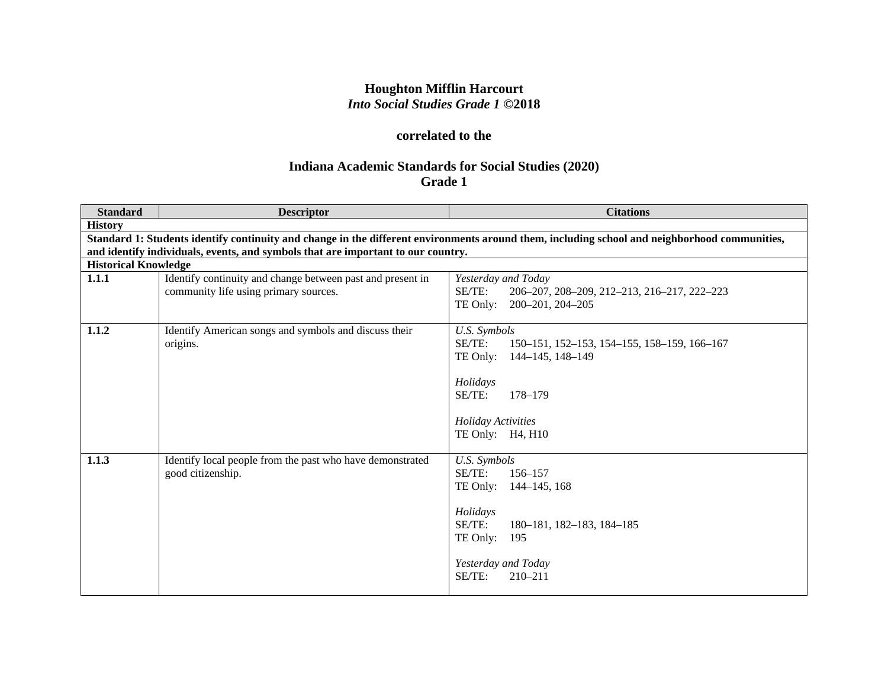# **Houghton Mifflin Harcourt** *Into Social Studies Grade 1* **©2018**

# **correlated to the**

# **Indiana Academic Standards for Social Studies (2020) Grade 1**

| <b>Standard</b>             | <b>Descriptor</b>                                                                                   | <b>Citations</b>                                                                                                                                                                        |
|-----------------------------|-----------------------------------------------------------------------------------------------------|-----------------------------------------------------------------------------------------------------------------------------------------------------------------------------------------|
| <b>History</b>              |                                                                                                     |                                                                                                                                                                                         |
|                             |                                                                                                     | Standard 1: Students identify continuity and change in the different environments around them, including school and neighborhood communities,                                           |
|                             | and identify individuals, events, and symbols that are important to our country.                    |                                                                                                                                                                                         |
| <b>Historical Knowledge</b> |                                                                                                     |                                                                                                                                                                                         |
| 1.1.1                       | Identify continuity and change between past and present in<br>community life using primary sources. | Yesterday and Today<br>SE/TE:<br>206-207, 208-209, 212-213, 216-217, 222-223<br>TE Only: 200-201, 204-205                                                                               |
| 1.1.2                       | Identify American songs and symbols and discuss their<br>origins.                                   | U.S. Symbols<br>SE/TE:<br>150–151, 152–153, 154–155, 158–159, 166–167<br>TE Only:<br>144–145, 148–149<br>Holidays<br>SE/TE:<br>178-179<br><b>Holiday Activities</b><br>TE Only: H4, H10 |
| 1.1.3                       | Identify local people from the past who have demonstrated<br>good citizenship.                      | U.S. Symbols<br>SE/TE:<br>156–157<br>TE Only:<br>144–145, 168<br>Holidays<br>SE/TE:<br>180-181, 182-183, 184-185<br>TE Only:<br>195<br>Yesterday and Today<br>SE/TE:<br>$210 - 211$     |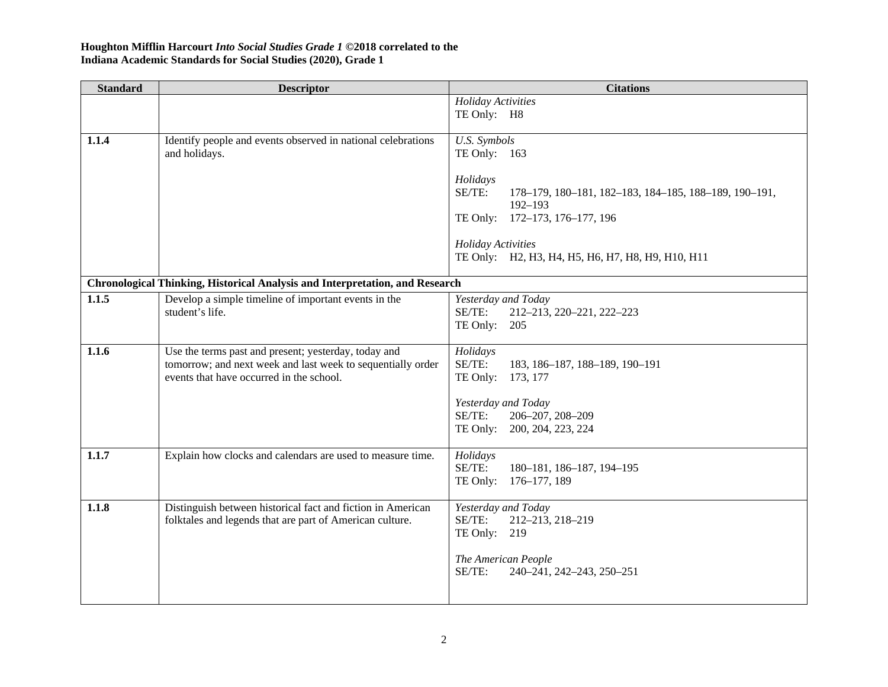| <b>Standard</b> | <b>Descriptor</b>                                                                                                   | <b>Citations</b>                                                               |
|-----------------|---------------------------------------------------------------------------------------------------------------------|--------------------------------------------------------------------------------|
|                 |                                                                                                                     | <b>Holiday Activities</b><br>TE Only: H8                                       |
|                 |                                                                                                                     |                                                                                |
| 1.1.4           | Identify people and events observed in national celebrations                                                        | U.S. Symbols                                                                   |
|                 | and holidays.                                                                                                       | TE Only: $163$                                                                 |
|                 |                                                                                                                     | Holidays                                                                       |
|                 |                                                                                                                     | SE/TE:<br>178-179, 180-181, 182-183, 184-185, 188-189, 190-191,<br>$192 - 193$ |
|                 |                                                                                                                     | TE Only: 172-173, 176-177, 196                                                 |
|                 |                                                                                                                     |                                                                                |
|                 |                                                                                                                     | <b>Holiday Activities</b><br>TE Only: H2, H3, H4, H5, H6, H7, H8, H9, H10, H11 |
|                 |                                                                                                                     |                                                                                |
|                 | Chronological Thinking, Historical Analysis and Interpretation, and Research                                        |                                                                                |
| 1.1.5           | Develop a simple timeline of important events in the<br>student's life.                                             | Yesterday and Today<br>SE/TE:<br>212-213, 220-221, 222-223                     |
|                 |                                                                                                                     | TE Only: 205                                                                   |
|                 |                                                                                                                     |                                                                                |
| 1.1.6           | Use the terms past and present; yesterday, today and<br>tomorrow; and next week and last week to sequentially order | Holidays<br>SE/TE:<br>183, 186-187, 188-189, 190-191                           |
|                 | events that have occurred in the school.                                                                            | TE Only: 173, 177                                                              |
|                 |                                                                                                                     |                                                                                |
|                 |                                                                                                                     | Yesterday and Today<br>SE/TE:<br>206-207, 208-209                              |
|                 |                                                                                                                     | TE Only: 200, 204, 223, 224                                                    |
|                 |                                                                                                                     |                                                                                |
| 1.1.7           | Explain how clocks and calendars are used to measure time.                                                          | Holidays<br>SE/TE:<br>180-181, 186-187, 194-195                                |
|                 |                                                                                                                     | TE Only: 176-177, 189                                                          |
| 1.1.8           | Distinguish between historical fact and fiction in American                                                         | Yesterday and Today                                                            |
|                 | folktales and legends that are part of American culture.                                                            | SE/TE:<br>212-213, 218-219                                                     |
|                 |                                                                                                                     | TE Only: 219                                                                   |
|                 |                                                                                                                     | The American People                                                            |
|                 |                                                                                                                     | SE/TE:<br>240-241, 242-243, 250-251                                            |
|                 |                                                                                                                     |                                                                                |
|                 |                                                                                                                     |                                                                                |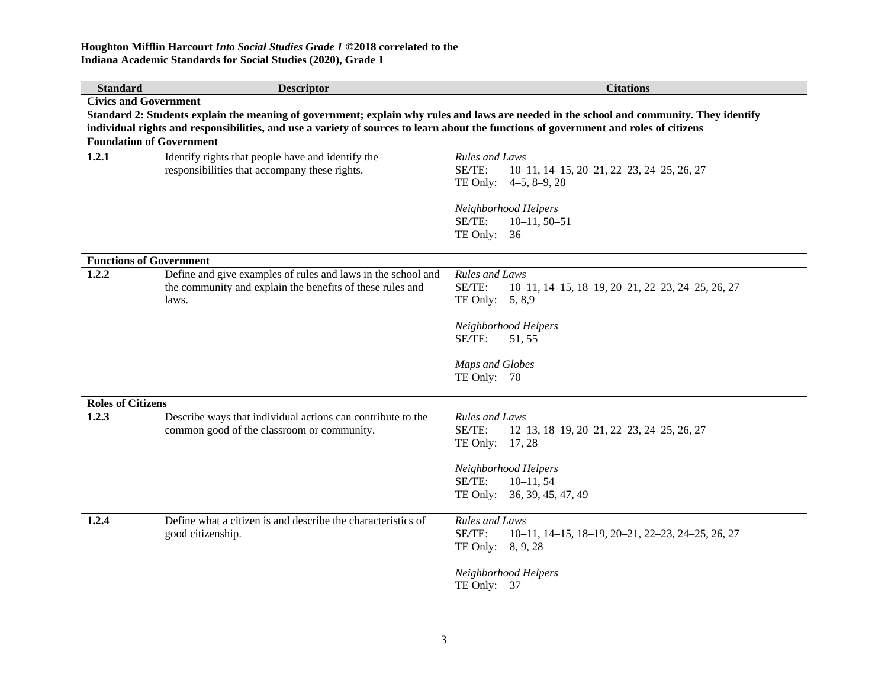| <b>Standard</b>                 | <b>Descriptor</b>                                                                                                                        | <b>Citations</b>                                                                                                                                                                      |  |
|---------------------------------|------------------------------------------------------------------------------------------------------------------------------------------|---------------------------------------------------------------------------------------------------------------------------------------------------------------------------------------|--|
| <b>Civics and Government</b>    |                                                                                                                                          |                                                                                                                                                                                       |  |
|                                 | Standard 2: Students explain the meaning of government; explain why rules and laws are needed in the school and community. They identify |                                                                                                                                                                                       |  |
|                                 | individual rights and responsibilities, and use a variety of sources to learn about the functions of government and roles of citizens    |                                                                                                                                                                                       |  |
| <b>Foundation of Government</b> |                                                                                                                                          |                                                                                                                                                                                       |  |
| 1.2.1                           | Identify rights that people have and identify the<br>responsibilities that accompany these rights.                                       | Rules and Laws<br>SE/TE:<br>$10-11$ , $14-15$ , $20-21$ , $22-23$ , $24-25$ , $26$ , $27$<br>TE Only: 4-5, 8-9, 28<br>Neighborhood Helpers<br>SE/TE:<br>$10-11, 50-51$<br>TE Only: 36 |  |
| <b>Functions of Government</b>  |                                                                                                                                          |                                                                                                                                                                                       |  |
| 1.2.2                           | Define and give examples of rules and laws in the school and<br>the community and explain the benefits of these rules and<br>laws.       | <b>Rules and Laws</b><br>SE/TE:<br>10-11, 14-15, 18-19, 20-21, 22-23, 24-25, 26, 27<br>TE Only: 5, 8,9<br>Neighborhood Helpers<br>SE/TE:<br>51, 55<br>Maps and Globes<br>TE Only: 70  |  |
| <b>Roles of Citizens</b>        |                                                                                                                                          |                                                                                                                                                                                       |  |
| 1.2.3                           | Describe ways that individual actions can contribute to the<br>common good of the classroom or community.                                | Rules and Laws<br>SE/TE:<br>12-13, 18-19, 20-21, 22-23, 24-25, 26, 27<br>TE Only: 17, 28<br>Neighborhood Helpers<br>SE/TE:<br>$10 - 11, 54$<br>TE Only: 36, 39, 45, 47, 49            |  |
| 1.2.4                           | Define what a citizen is and describe the characteristics of<br>good citizenship.                                                        | Rules and Laws<br>SE/TE:<br>10-11, 14-15, 18-19, 20-21, 22-23, 24-25, 26, 27<br>TE Only: 8, 9, 28<br>Neighborhood Helpers<br>TE Only: 37                                              |  |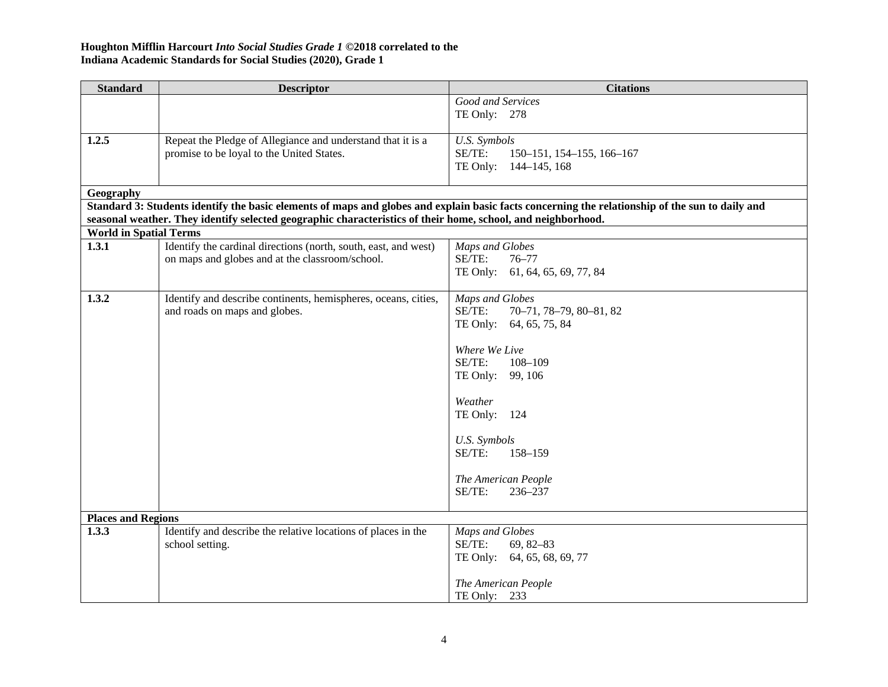| <b>Standard</b>               | <b>Descriptor</b>                                                                                            | <b>Citations</b>                                                                                                                                |
|-------------------------------|--------------------------------------------------------------------------------------------------------------|-------------------------------------------------------------------------------------------------------------------------------------------------|
|                               |                                                                                                              | Good and Services                                                                                                                               |
|                               |                                                                                                              | TE Only: 278                                                                                                                                    |
|                               |                                                                                                              |                                                                                                                                                 |
| 1.2.5                         | Repeat the Pledge of Allegiance and understand that it is a                                                  | U.S. Symbols                                                                                                                                    |
|                               | promise to be loyal to the United States.                                                                    | SE/TE:<br>150-151, 154-155, 166-167<br>TE Only: 144-145, 168                                                                                    |
|                               |                                                                                                              |                                                                                                                                                 |
| Geography                     |                                                                                                              |                                                                                                                                                 |
|                               |                                                                                                              | Standard 3: Students identify the basic elements of maps and globes and explain basic facts concerning the relationship of the sun to daily and |
|                               | seasonal weather. They identify selected geographic characteristics of their home, school, and neighborhood. |                                                                                                                                                 |
| <b>World in Spatial Terms</b> |                                                                                                              |                                                                                                                                                 |
| 1.3.1                         | Identify the cardinal directions (north, south, east, and west)                                              | Maps and Globes                                                                                                                                 |
|                               | on maps and globes and at the classroom/school.                                                              | SE/TE:<br>$76 - 77$                                                                                                                             |
|                               |                                                                                                              | TE Only: 61, 64, 65, 69, 77, 84                                                                                                                 |
| 1.3.2                         | Identify and describe continents, hemispheres, oceans, cities,                                               | Maps and Globes                                                                                                                                 |
|                               | and roads on maps and globes.                                                                                | SE/TE:<br>70-71, 78-79, 80-81, 82                                                                                                               |
|                               |                                                                                                              | TE Only: 64, 65, 75, 84                                                                                                                         |
|                               |                                                                                                              |                                                                                                                                                 |
|                               |                                                                                                              | Where We Live                                                                                                                                   |
|                               |                                                                                                              | SE/TE:<br>$108 - 109$                                                                                                                           |
|                               |                                                                                                              | TE Only: 99, 106                                                                                                                                |
|                               |                                                                                                              | Weather                                                                                                                                         |
|                               |                                                                                                              | TE Only: 124                                                                                                                                    |
|                               |                                                                                                              |                                                                                                                                                 |
|                               |                                                                                                              | U.S. Symbols                                                                                                                                    |
|                               |                                                                                                              | SE/TE:<br>158-159                                                                                                                               |
|                               |                                                                                                              |                                                                                                                                                 |
|                               |                                                                                                              | The American People                                                                                                                             |
|                               |                                                                                                              | SE/TE:<br>236-237                                                                                                                               |
| <b>Places and Regions</b>     |                                                                                                              |                                                                                                                                                 |
| 1.3.3                         | Identify and describe the relative locations of places in the                                                | Maps and Globes                                                                                                                                 |
|                               | school setting.                                                                                              | SE/TE:<br>$69, 82 - 83$                                                                                                                         |
|                               |                                                                                                              | TE Only: 64, 65, 68, 69, 77                                                                                                                     |
|                               |                                                                                                              |                                                                                                                                                 |
|                               |                                                                                                              | The American People                                                                                                                             |
|                               |                                                                                                              | TE Only: $233$                                                                                                                                  |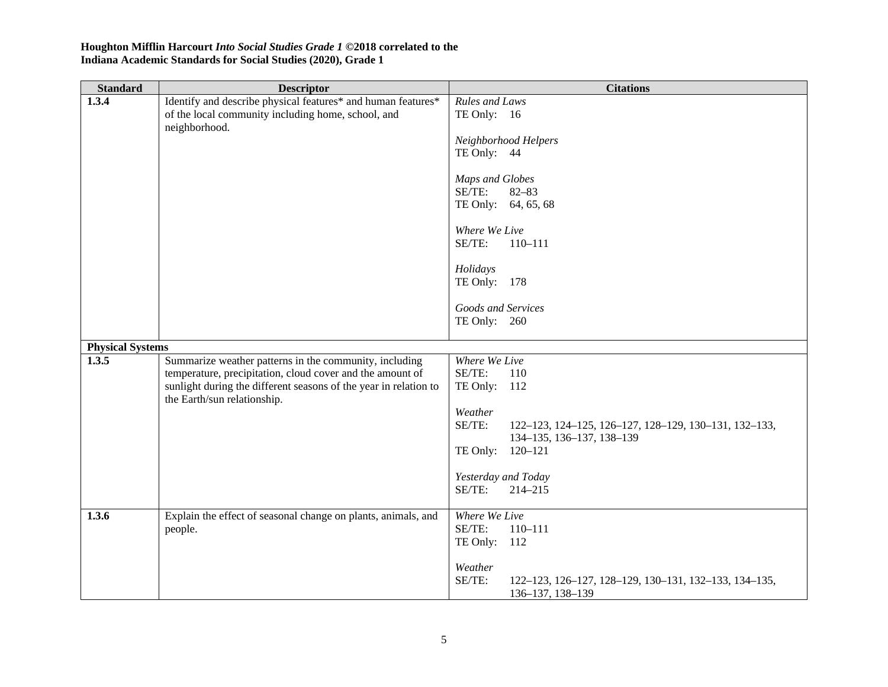| <b>Standard</b>                           | <b>Descriptor</b>                                                                                                                                                                             | <b>Citations</b>                                                                                                                                                                                                                                                   |
|-------------------------------------------|-----------------------------------------------------------------------------------------------------------------------------------------------------------------------------------------------|--------------------------------------------------------------------------------------------------------------------------------------------------------------------------------------------------------------------------------------------------------------------|
| 1.3.4<br><b>Physical Systems</b><br>1.3.5 | Identify and describe physical features* and human features*<br>of the local community including home, school, and<br>neighborhood.<br>Summarize weather patterns in the community, including | Rules and Laws<br>TE Only: 16<br>Neighborhood Helpers<br>TE Only: 44<br>Maps and Globes<br>SE/TE:<br>$82 - 83$<br>TE Only: 64, 65, 68<br>Where We Live<br>SE/TE:<br>$110 - 111$<br>Holidays<br>TE Only: 178<br>Goods and Services<br>TE Only: 260<br>Where We Live |
|                                           | temperature, precipitation, cloud cover and the amount of<br>sunlight during the different seasons of the year in relation to<br>the Earth/sun relationship.                                  | SE/TE:<br>110<br>TE Only: 112<br>Weather<br>SE/TE:<br>122-123, 124-125, 126-127, 128-129, 130-131, 132-133,<br>134-135, 136-137, 138-139<br>TE Only: 120-121<br>Yesterday and Today<br>SE/TE:<br>214-215                                                           |
| 1.3.6                                     | Explain the effect of seasonal change on plants, animals, and<br>people.                                                                                                                      | Where We Live<br>SE/TE:<br>$110 - 111$<br>TE Only: 112<br>Weather<br>SE/TE:<br>122-123, 126-127, 128-129, 130-131, 132-133, 134-135,<br>136-137, 138-139                                                                                                           |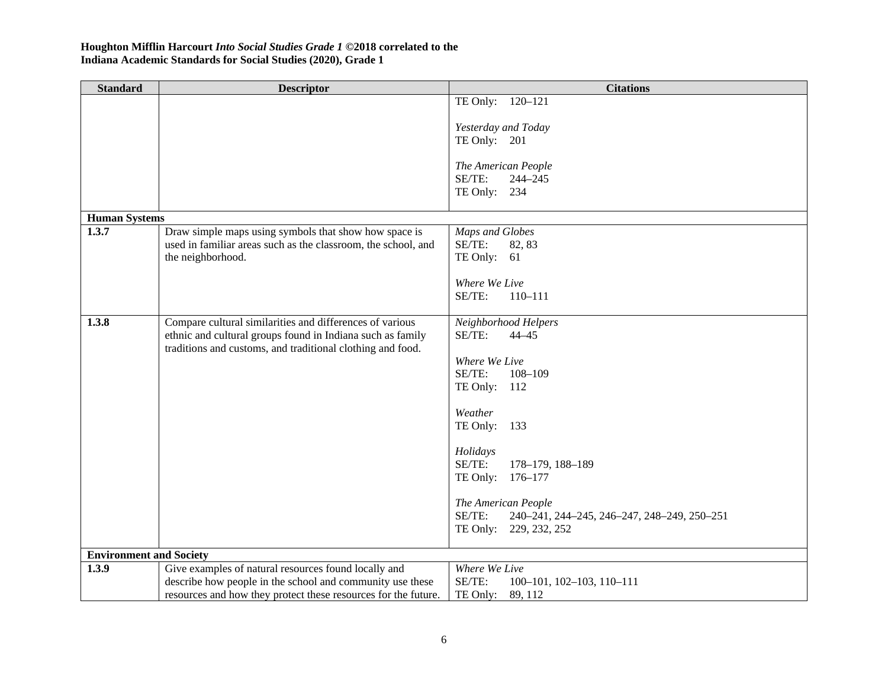| <b>Standard</b>                | <b>Descriptor</b>                                              | <b>Citations</b>                                      |
|--------------------------------|----------------------------------------------------------------|-------------------------------------------------------|
|                                |                                                                | TE Only: 120-121                                      |
|                                |                                                                |                                                       |
|                                |                                                                | Yesterday and Today<br>TE Only: 201                   |
|                                |                                                                |                                                       |
|                                |                                                                | The American People                                   |
|                                |                                                                | SE/TE:<br>$244 - 245$                                 |
|                                |                                                                | TE Only: 234                                          |
| <b>Human Systems</b>           |                                                                |                                                       |
| 1.3.7                          | Draw simple maps using symbols that show how space is          | Maps and Globes                                       |
|                                | used in familiar areas such as the classroom, the school, and  | SE/TE:<br>82, 83                                      |
|                                | the neighborhood.                                              | TE Only: 61                                           |
|                                |                                                                | Where We Live                                         |
|                                |                                                                | SE/TE:<br>$110 - 111$                                 |
|                                |                                                                |                                                       |
| 1.3.8                          | Compare cultural similarities and differences of various       | Neighborhood Helpers                                  |
|                                | ethnic and cultural groups found in Indiana such as family     | SE/TE:<br>$44 - 45$                                   |
|                                | traditions and customs, and traditional clothing and food.     | Where We Live                                         |
|                                |                                                                | SE/TE:<br>$108 - 109$                                 |
|                                |                                                                | TE Only: 112                                          |
|                                |                                                                |                                                       |
|                                |                                                                | Weather                                               |
|                                |                                                                | TE Only: 133                                          |
|                                |                                                                | Holidays                                              |
|                                |                                                                | SE/TE:<br>178-179, 188-189                            |
|                                |                                                                | TE Only: 176-177                                      |
|                                |                                                                |                                                       |
|                                |                                                                | The American People                                   |
|                                |                                                                | SE/TE:<br>240-241, 244-245, 246-247, 248-249, 250-251 |
|                                |                                                                | TE Only: 229, 232, 252                                |
| <b>Environment and Society</b> |                                                                |                                                       |
| 1.3.9                          | Give examples of natural resources found locally and           | Where We Live                                         |
|                                | describe how people in the school and community use these      | SE/TE:<br>$100-101$ , $102-103$ , $110-111$           |
|                                | resources and how they protect these resources for the future. | TE Only:<br>89, 112                                   |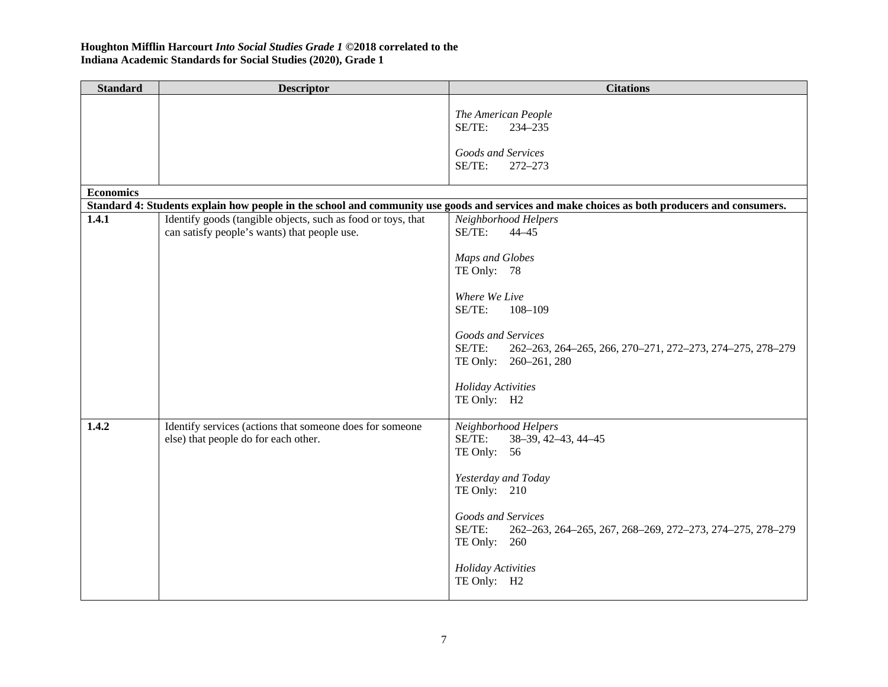| <b>Standard</b>  | <b>Descriptor</b>                                            | <b>Citations</b>                                                                                                                             |
|------------------|--------------------------------------------------------------|----------------------------------------------------------------------------------------------------------------------------------------------|
|                  |                                                              | The American People                                                                                                                          |
|                  |                                                              | SE/TE:<br>234-235                                                                                                                            |
|                  |                                                              | Goods and Services                                                                                                                           |
|                  |                                                              | SE/TE:<br>272-273                                                                                                                            |
| <b>Economics</b> |                                                              |                                                                                                                                              |
|                  |                                                              | Standard 4: Students explain how people in the school and community use goods and services and make choices as both producers and consumers. |
| 1.4.1            | Identify goods (tangible objects, such as food or toys, that | Neighborhood Helpers                                                                                                                         |
|                  | can satisfy people's wants) that people use.                 | SE/TE:<br>$44 - 45$                                                                                                                          |
|                  |                                                              |                                                                                                                                              |
|                  |                                                              | Maps and Globes<br>TE Only: 78                                                                                                               |
|                  |                                                              |                                                                                                                                              |
|                  |                                                              | Where We Live                                                                                                                                |
|                  |                                                              | SE/TE:<br>$108 - 109$                                                                                                                        |
|                  |                                                              | Goods and Services                                                                                                                           |
|                  |                                                              | SE/TE:<br>262-263, 264-265, 266, 270-271, 272-273, 274-275, 278-279                                                                          |
|                  |                                                              | TE Only: 260-261, 280                                                                                                                        |
|                  |                                                              |                                                                                                                                              |
|                  |                                                              | <b>Holiday Activities</b><br>TE Only: H2                                                                                                     |
|                  |                                                              |                                                                                                                                              |
| 1.4.2            | Identify services (actions that someone does for someone     | Neighborhood Helpers                                                                                                                         |
|                  | else) that people do for each other.                         | SE/TE:<br>38-39, 42-43, 44-45                                                                                                                |
|                  |                                                              | TE Only: 56                                                                                                                                  |
|                  |                                                              | Yesterday and Today                                                                                                                          |
|                  |                                                              | TE Only: 210                                                                                                                                 |
|                  |                                                              |                                                                                                                                              |
|                  |                                                              | Goods and Services<br>SE/TE:<br>262-263, 264-265, 267, 268-269, 272-273, 274-275, 278-279                                                    |
|                  |                                                              | TE Only: 260                                                                                                                                 |
|                  |                                                              |                                                                                                                                              |
|                  |                                                              | <b>Holiday Activities</b>                                                                                                                    |
|                  |                                                              | TE Only: H2                                                                                                                                  |